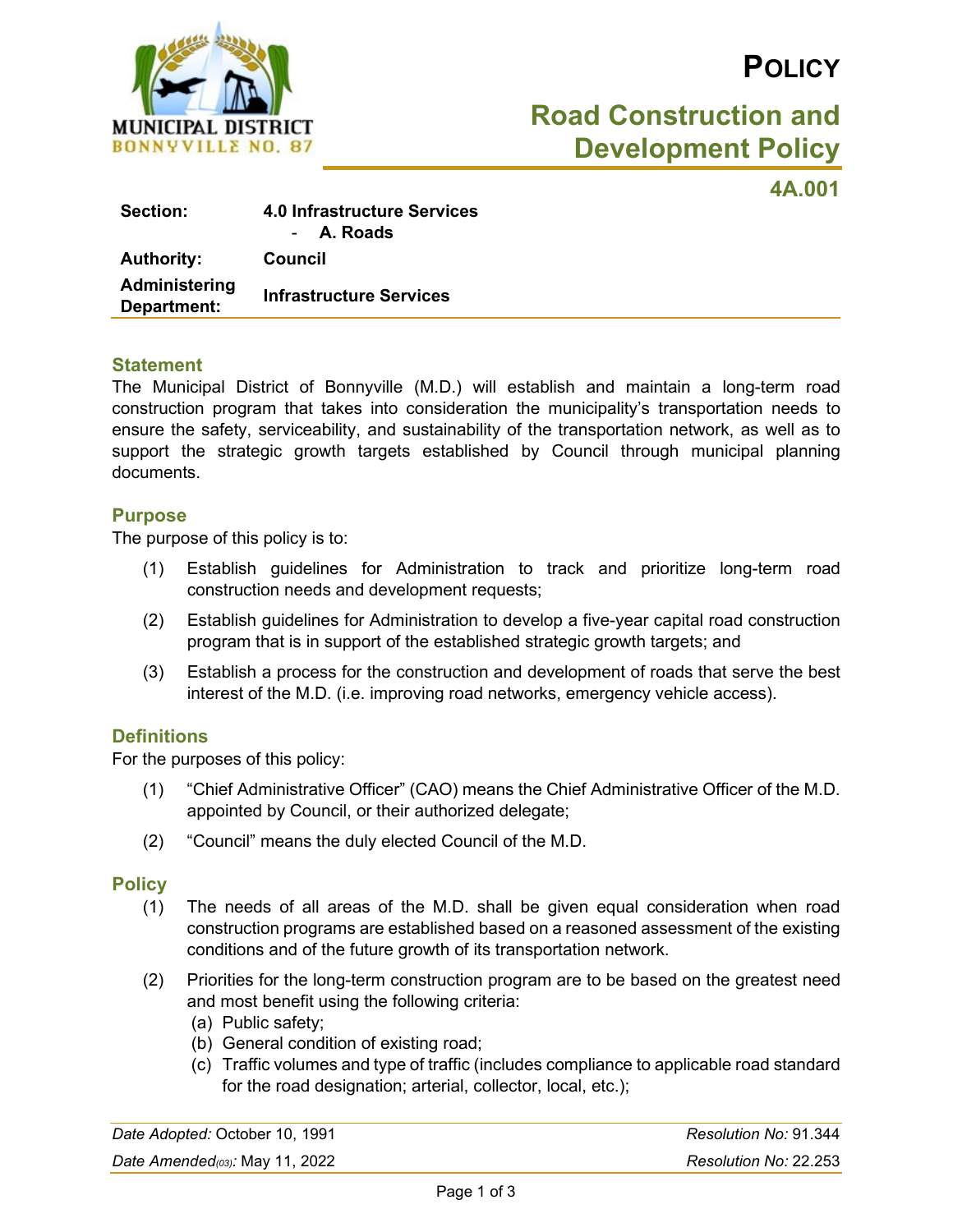

# **POLICY**

# **Road Construction and Development Policy**

**4A.001**

| <b>Section:</b>              | 4.0 Infrastructure Services<br>- A. Roads |
|------------------------------|-------------------------------------------|
| <b>Authority:</b>            | Council                                   |
| Administering<br>Department: | <b>Infrastructure Services</b>            |

#### **Statement**

The Municipal District of Bonnyville (M.D.) will establish and maintain a long-term road construction program that takes into consideration the municipality's transportation needs to ensure the safety, serviceability, and sustainability of the transportation network, as well as to support the strategic growth targets established by Council through municipal planning documents.

#### **Purpose**

The purpose of this policy is to:

- (1) Establish guidelines for Administration to track and prioritize long-term road construction needs and development requests;
- (2) Establish guidelines for Administration to develop a five-year capital road construction program that is in support of the established strategic growth targets; and
- (3) Establish a process for the construction and development of roads that serve the best interest of the M.D. (i.e. improving road networks, emergency vehicle access).

### **Definitions**

For the purposes of this policy:

- (1) "Chief Administrative Officer" (CAO) means the Chief Administrative Officer of the M.D. appointed by Council, or their authorized delegate;
- (2) "Council" means the duly elected Council of the M.D.

#### **Policy**

- (1) The needs of all areas of the M.D. shall be given equal consideration when road construction programs are established based on a reasoned assessment of the existing conditions and of the future growth of its transportation network.
- (2) Priorities for the long-term construction program are to be based on the greatest need and most benefit using the following criteria:
	- (a) Public safety;
	- (b) General condition of existing road;
	- (c) Traffic volumes and type of traffic (includes compliance to applicable road standard for the road designation; arterial, collector, local, etc.);

| Date Adopted: October 10, 1991     | Resolution No: 91.344 |
|------------------------------------|-----------------------|
| Date Amended( $03$ ): May 11, 2022 | Resolution No: 22.253 |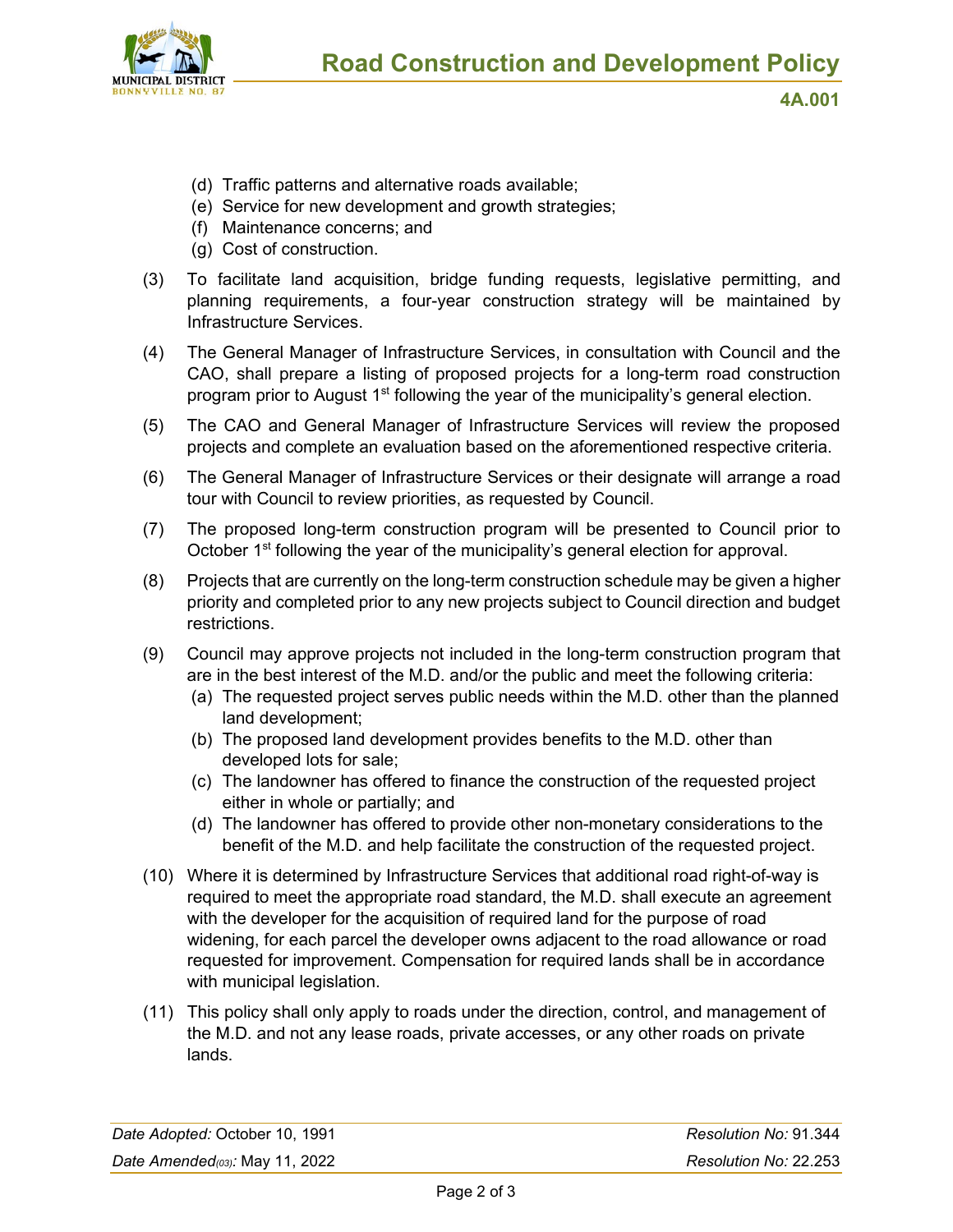

**4A.001**

- (d) Traffic patterns and alternative roads available;
- (e) Service for new development and growth strategies;
- (f) Maintenance concerns; and
- (g) Cost of construction.
- (3) To facilitate land acquisition, bridge funding requests, legislative permitting, and planning requirements, a four-year construction strategy will be maintained by Infrastructure Services.
- (4) The General Manager of Infrastructure Services, in consultation with Council and the CAO, shall prepare a listing of proposed projects for a long-term road construction program prior to August 1<sup>st</sup> following the year of the municipality's general election.
- (5) The CAO and General Manager of Infrastructure Services will review the proposed projects and complete an evaluation based on the aforementioned respective criteria.
- (6) The General Manager of Infrastructure Services or their designate will arrange a road tour with Council to review priorities, as requested by Council.
- (7) The proposed long-term construction program will be presented to Council prior to October 1<sup>st</sup> following the year of the municipality's general election for approval.
- (8) Projects that are currently on the long-term construction schedule may be given a higher priority and completed prior to any new projects subject to Council direction and budget restrictions.
- (9) Council may approve projects not included in the long-term construction program that are in the best interest of the M.D. and/or the public and meet the following criteria:
	- (a) The requested project serves public needs within the M.D. other than the planned land development;
	- (b) The proposed land development provides benefits to the M.D. other than developed lots for sale;
	- (c) The landowner has offered to finance the construction of the requested project either in whole or partially; and
	- (d) The landowner has offered to provide other non-monetary considerations to the benefit of the M.D. and help facilitate the construction of the requested project.
- (10) Where it is determined by Infrastructure Services that additional road right-of-way is required to meet the appropriate road standard, the M.D. shall execute an agreement with the developer for the acquisition of required land for the purpose of road widening, for each parcel the developer owns adjacent to the road allowance or road requested for improvement. Compensation for required lands shall be in accordance with municipal legislation.
- (11) This policy shall only apply to roads under the direction, control, and management of the M.D. and not any lease roads, private accesses, or any other roads on private lands.

| Date Adopted: October 10, 1991 | Resolution No: 91.344 |
|--------------------------------|-----------------------|
| Date Amended(03): May 11, 2022 | Resolution No: 22.253 |